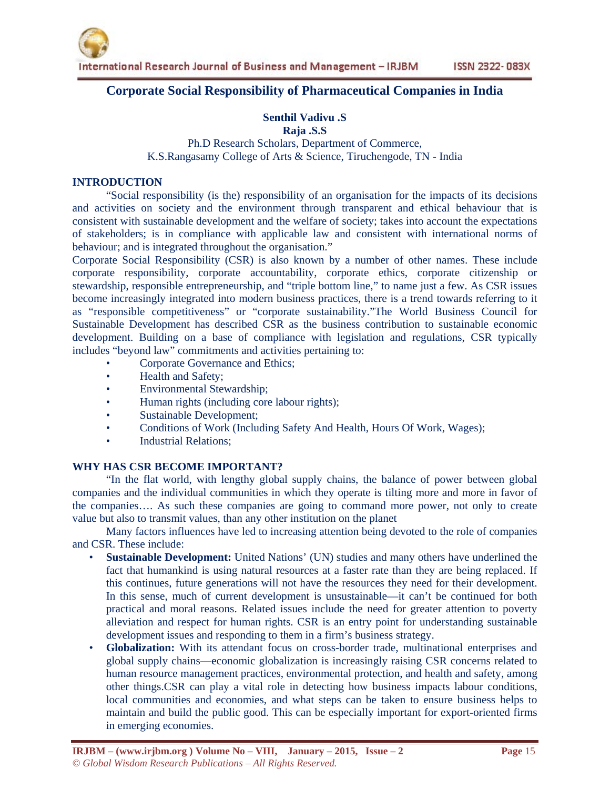## **Corporate Social Responsibility of Pharmaceutical Companies in India**

# **Senthil Vadivu .S**

**Raja .S.S** 

Ph.D Research Scholars, Department of Commerce, K.S.Rangasamy College of Arts & Science, Tiruchengode, TN - India

## **INTRODUCTION**

"Social responsibility (is the) responsibility of an organisation for the impacts of its decisions and activities on society and the environment through transparent and ethical behaviour that is consistent with sustainable development and the welfare of society; takes into account the expectations of stakeholders; is in compliance with applicable law and consistent with international norms of behaviour; and is integrated throughout the organisation."

Corporate Social Responsibility (CSR) is also known by a number of other names. These include corporate responsibility, corporate accountability, corporate ethics, corporate citizenship or stewardship, responsible entrepreneurship, and "triple bottom line," to name just a few. As CSR issues become increasingly integrated into modern business practices, there is a trend towards referring to it as "responsible competitiveness" or "corporate sustainability."The World Business Council for Sustainable Development has described CSR as the business contribution to sustainable economic development. Building on a base of compliance with legislation and regulations, CSR typically includes "beyond law" commitments and activities pertaining to:

- Corporate Governance and Ethics;
- Health and Safety;
- Environmental Stewardship;
- Human rights (including core labour rights);
- Sustainable Development;
- Conditions of Work (Including Safety And Health, Hours Of Work, Wages);
- Industrial Relations;

## **WHY HAS CSR BECOME IMPORTANT?**

"In the flat world, with lengthy global supply chains, the balance of power between global companies and the individual communities in which they operate is tilting more and more in favor of the companies…. As such these companies are going to command more power, not only to create value but also to transmit values, than any other institution on the planet

Many factors influences have led to increasing attention being devoted to the role of companies and CSR. These include:

- **Sustainable Development:** United Nations' (UN) studies and many others have underlined the fact that humankind is using natural resources at a faster rate than they are being replaced. If this continues, future generations will not have the resources they need for their development. In this sense, much of current development is unsustainable—it can't be continued for both practical and moral reasons. Related issues include the need for greater attention to poverty alleviation and respect for human rights. CSR is an entry point for understanding sustainable development issues and responding to them in a firm's business strategy.
- **Globalization:** With its attendant focus on cross-border trade, multinational enterprises and global supply chains—economic globalization is increasingly raising CSR concerns related to human resource management practices, environmental protection, and health and safety, among other things.CSR can play a vital role in detecting how business impacts labour conditions, local communities and economies, and what steps can be taken to ensure business helps to maintain and build the public good. This can be especially important for export-oriented firms in emerging economies.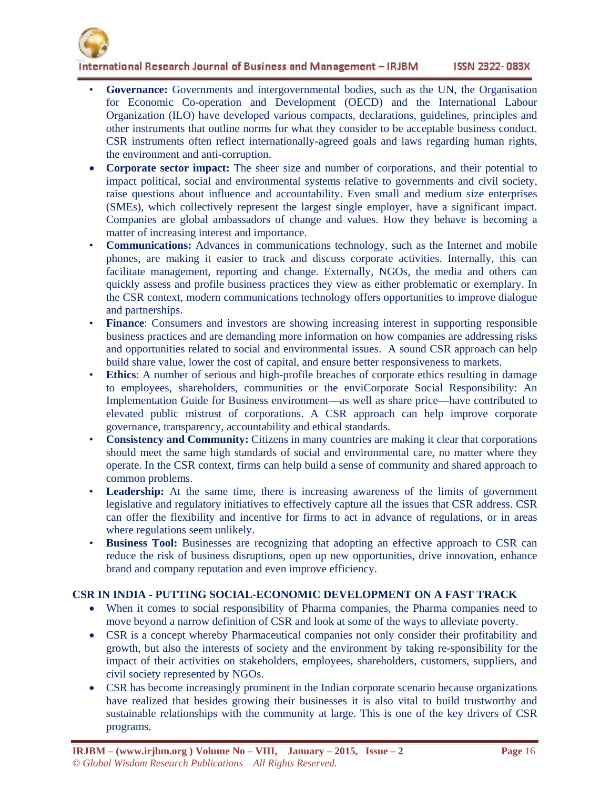

International Research Journal of Business and Management - IRJBM **ISSN 2322-083X** 

- **Governance:** Governments and intergovernmental bodies, such as the UN, the Organisation for Economic Co-operation and Development (OECD) and the International Labour Organization (ILO) have developed various compacts, declarations, guidelines, principles and other instruments that outline norms for what they consider to be acceptable business conduct. CSR instruments often reflect internationally-agreed goals and laws regarding human rights, the environment and anti-corruption.
- **Corporate sector impact:** The sheer size and number of corporations, and their potential to impact political, social and environmental systems relative to governments and civil society, raise questions about influence and accountability. Even small and medium size enterprises (SMEs), which collectively represent the largest single employer, have a significant impact. Companies are global ambassadors of change and values. How they behave is becoming a matter of increasing interest and importance.
- **Communications:** Advances in communications technology, such as the Internet and mobile phones, are making it easier to track and discuss corporate activities. Internally, this can facilitate management, reporting and change. Externally, NGOs, the media and others can quickly assess and profile business practices they view as either problematic or exemplary. In the CSR context, modern communications technology offers opportunities to improve dialogue and partnerships.
- **Finance**: Consumers and investors are showing increasing interest in supporting responsible business practices and are demanding more information on how companies are addressing risks and opportunities related to social and environmental issues. A sound CSR approach can help build share value, lower the cost of capital, and ensure better responsiveness to markets.
- **Ethics**: A number of serious and high-profile breaches of corporate ethics resulting in damage to employees, shareholders, communities or the enviCorporate Social Responsibility: An Implementation Guide for Business environment—as well as share price—have contributed to elevated public mistrust of corporations. A CSR approach can help improve corporate governance, transparency, accountability and ethical standards.
- **Consistency and Community:** Citizens in many countries are making it clear that corporations should meet the same high standards of social and environmental care, no matter where they operate. In the CSR context, firms can help build a sense of community and shared approach to common problems.
- **Leadership:** At the same time, there is increasing awareness of the limits of government legislative and regulatory initiatives to effectively capture all the issues that CSR address. CSR can offer the flexibility and incentive for firms to act in advance of regulations, or in areas where regulations seem unlikely.
- **Business Tool:** Businesses are recognizing that adopting an effective approach to CSR can reduce the risk of business disruptions, open up new opportunities, drive innovation, enhance brand and company reputation and even improve efficiency.

## **CSR IN INDIA - PUTTING SOCIAL-ECONOMIC DEVELOPMENT ON A FAST TRACK**

- When it comes to social responsibility of Pharma companies, the Pharma companies need to move beyond a narrow definition of CSR and look at some of the ways to alleviate poverty.
- CSR is a concept whereby Pharmaceutical companies not only consider their profitability and growth, but also the interests of society and the environment by taking re-sponsibility for the impact of their activities on stakeholders, employees, shareholders, customers, suppliers, and civil society represented by NGOs.
- CSR has become increasingly prominent in the Indian corporate scenario because organizations have realized that besides growing their businesses it is also vital to build trustworthy and sustainable relationships with the community at large. This is one of the key drivers of CSR programs.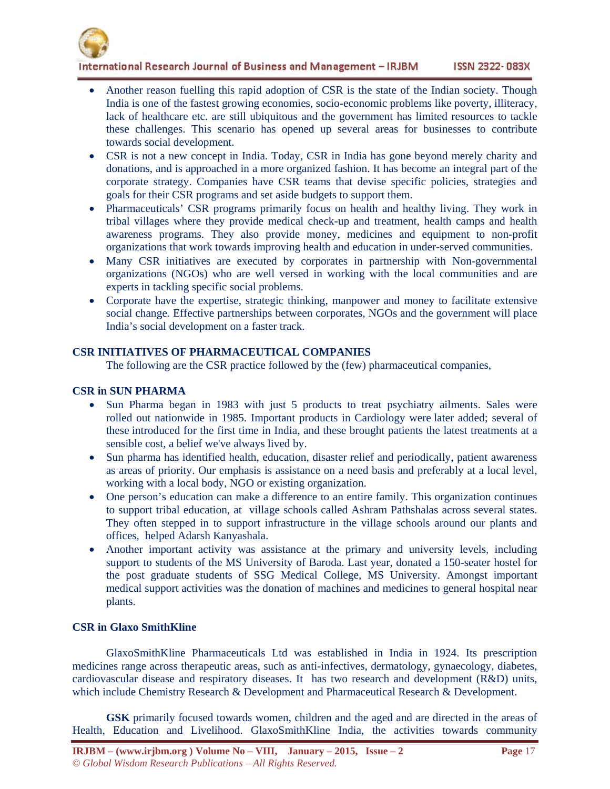

International Research Journal of Business and Management - IRJBM **ISSN 2322-083X** 

- Another reason fuelling this rapid adoption of CSR is the state of the Indian society. Though India is one of the fastest growing economies, socio-economic problems like poverty, illiteracy, lack of healthcare etc. are still ubiquitous and the government has limited resources to tackle these challenges. This scenario has opened up several areas for businesses to contribute towards social development.
- CSR is not a new concept in India. Today, CSR in India has gone beyond merely charity and donations, and is approached in a more organized fashion. It has become an integral part of the corporate strategy. Companies have CSR teams that devise specific policies, strategies and goals for their CSR programs and set aside budgets to support them.
- Pharmaceuticals' CSR programs primarily focus on health and healthy living. They work in tribal villages where they provide medical check-up and treatment, health camps and health awareness programs. They also provide money, medicines and equipment to non-profit organizations that work towards improving health and education in under-served communities.
- Many CSR initiatives are executed by corporates in partnership with Non-governmental organizations (NGOs) who are well versed in working with the local communities and are experts in tackling specific social problems.
- Corporate have the expertise, strategic thinking, manpower and money to facilitate extensive social change. Effective partnerships between corporates, NGOs and the government will place India's social development on a faster track.

## **CSR INITIATIVES OF PHARMACEUTICAL COMPANIES**

The following are the CSR practice followed by the (few) pharmaceutical companies,

## **CSR in SUN PHARMA**

- Sun Pharma began in 1983 with just 5 products to treat psychiatry ailments. Sales were rolled out nationwide in 1985. Important products in Cardiology were later added; several of these introduced for the first time in India, and these brought patients the latest treatments at a sensible cost, a belief we've always lived by.
- Sun pharma has identified health, education, disaster relief and periodically, patient awareness as areas of priority. Our emphasis is assistance on a need basis and preferably at a local level, working with a local body, NGO or existing organization.
- One person's education can make a difference to an entire family. This organization continues to support tribal education, at village schools called Ashram Pathshalas across several states. They often stepped in to support infrastructure in the village schools around our plants and offices, helped Adarsh Kanyashala.
- Another important activity was assistance at the primary and university levels, including support to students of the MS University of Baroda. Last year, donated a 150-seater hostel for the post graduate students of SSG Medical College, MS University. Amongst important medical support activities was the donation of machines and medicines to general hospital near plants.

### **CSR in Glaxo SmithKline**

 GlaxoSmithKline Pharmaceuticals Ltd was established in India in 1924. Its prescription medicines range across therapeutic areas, such as anti-infectives, dermatology, gynaecology, diabetes, cardiovascular disease and respiratory diseases. It has two research and development (R&D) units, which include Chemistry Research & Development and Pharmaceutical Research & Development.

 **GSK** primarily focused towards women, children and the aged and are directed in the areas of Health, Education and Livelihood. GlaxoSmithKline India, the activities towards community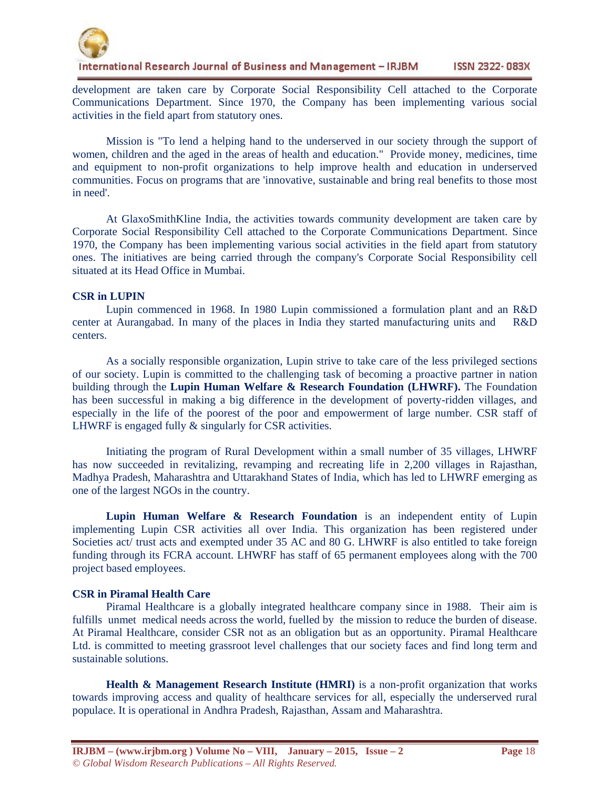

development are taken care by Corporate Social Responsibility Cell attached to the Corporate Communications Department. Since 1970, the Company has been implementing various social activities in the field apart from statutory ones.

 Mission is "To lend a helping hand to the underserved in our society through the support of women, children and the aged in the areas of health and education." Provide money, medicines, time and equipment to non-profit organizations to help improve health and education in underserved communities. Focus on programs that are 'innovative, sustainable and bring real benefits to those most in need'.

 At GlaxoSmithKline India, the activities towards community development are taken care by Corporate Social Responsibility Cell attached to the Corporate Communications Department. Since 1970, the Company has been implementing various social activities in the field apart from statutory ones. The initiatives are being carried through the company's Corporate Social Responsibility cell situated at its Head Office in Mumbai.

### **CSR in LUPIN**

 Lupin commenced in 1968. In 1980 Lupin commissioned a formulation plant and an R&D center at Aurangabad. In many of the places in India they started manufacturing units and R&D centers.

 As a socially responsible organization, Lupin strive to take care of the less privileged sections of our society. Lupin is committed to the challenging task of becoming a proactive partner in nation building through the **Lupin Human Welfare & Research Foundation (LHWRF).** The Foundation has been successful in making a big difference in the development of poverty-ridden villages, and especially in the life of the poorest of the poor and empowerment of large number. CSR staff of LHWRF is engaged fully  $&$  singularly for CSR activities.

 Initiating the program of Rural Development within a small number of 35 villages, LHWRF has now succeeded in revitalizing, revamping and recreating life in 2,200 villages in Rajasthan, Madhya Pradesh, Maharashtra and Uttarakhand States of India, which has led to LHWRF emerging as one of the largest NGOs in the country.

 **Lupin Human Welfare & Research Foundation** is an independent entity of Lupin implementing Lupin CSR activities all over India. This organization has been registered under Societies act/ trust acts and exempted under 35 AC and 80 G. LHWRF is also entitled to take foreign funding through its FCRA account. LHWRF has staff of 65 permanent employees along with the 700 project based employees.

### **CSR in Piramal Health Care**

 Piramal Healthcare is a globally integrated healthcare company since in 1988. Their aim is fulfills unmet medical needs across the world, fuelled by the mission to reduce the burden of disease. At Piramal Healthcare, consider CSR not as an obligation but as an opportunity. Piramal Healthcare Ltd. is committed to meeting grassroot level challenges that our society faces and find long term and sustainable solutions.

**Health & Management Research Institute (HMRI)** is a non-profit organization that works towards improving access and quality of healthcare services for all, especially the underserved rural populace. It is operational in Andhra Pradesh, Rajasthan, Assam and Maharashtra.